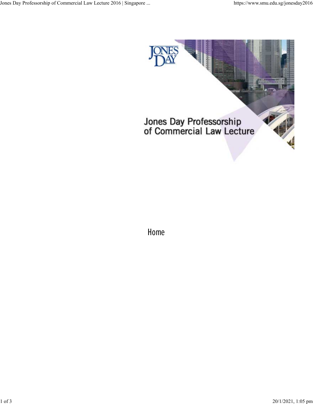

Home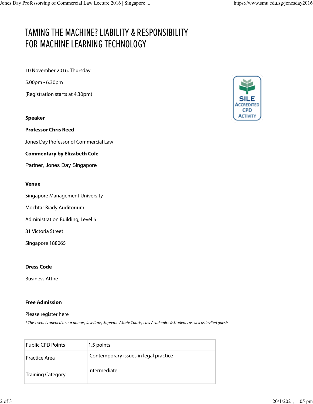# TAMING THE MACHINE? LIABILITY & RESPONSIBILITY FOR MACHINE LEARNING TECHNOLOGY

10 November 2016, Thursday

5.00pm - 6.30pm

(Registration starts at 4.30pm)

### **Speaker**

**Professor Chris Reed**

Jones Day Professor of Commercial Law

#### **Commentary by Elizabeth Cole**

Partner, Jones Day Singapore

#### **Venue**

Singapore Management University

Mochtar Riady Auditorium

Administration Building, Level 5

81 Victoria Street

Singapore 188065

#### **Dress Code**

Business Attire

#### **Free Admission**

Please register here

\* This event is opened to our donors, law firms, Supreme / State Courts, Law Academics & Students as well as invited guests

| <b>Public CPD Points</b> | 1.5 points                            |
|--------------------------|---------------------------------------|
| <b>Practice Area</b>     | Contemporary issues in legal practice |
| <b>Training Category</b> | Intermediate                          |

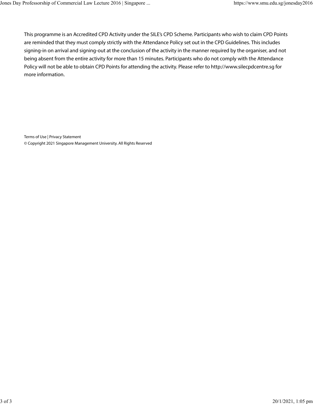This programme is an Accredited CPD Activity under the SILE's CPD Scheme. Participants who wish to claim CPD Points are reminded that they must comply strictly with the Attendance Policy set out in the CPD Guidelines. This includes signing-in on arrival and signing-out at the conclusion of the activity in the manner required by the organiser, and not being absent from the entire activity for more than 15 minutes. Participants who do not comply with the Attendance Policy will not be able to obtain CPD Points for attending the activity. Please refer to http://www.silecpdcentre.sg for more information.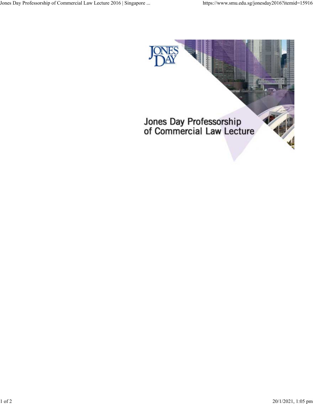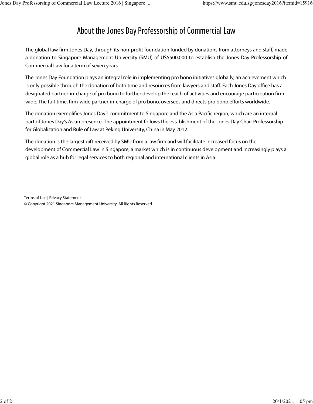## About the Jones Day Professorship of Commercial Law

The global law firm Jones Day, through its non-profit foundation funded by donations from attorneys and staff, made a donation to Singapore Management University (SMU) of US\$500,000 to establish the Jones Day Professorship of Commercial Law for a term of seven years.

The Jones Day Foundation plays an integral role in implementing pro bono initiatives globally, an achievement which is only possible through the donation of both time and resources from lawyers and staff. Each Jones Day office has a designated partner-in-charge of pro bono to further develop the reach of activities and encourage participation firmwide. The full-time, firm-wide partner-in-charge of pro bono, oversees and directs pro bono efforts worldwide.

The donation exemplifies Jones Day's commitment to Singapore and the Asia Pacific region, which are an integral part of Jones Day's Asian presence. The appointment follows the establishment of the Jones Day Chair Professorship for Globalization and Rule of Law at Peking University, China in May 2012.

The donation is the largest gift received by SMU from a law firm and will facilitate increased focus on the development of Commercial Law in Singapore, a market which is in continuous development and increasingly plays a global role as a hub for legal services to both regional and international clients in Asia.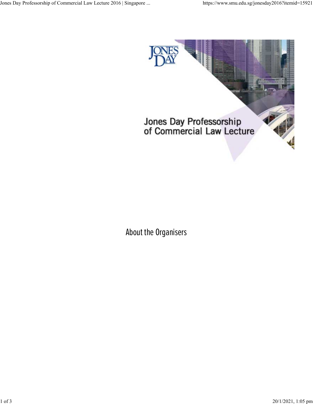

# About the Organisers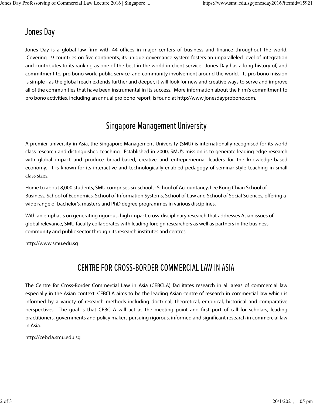### Jones Da

Jones Day is a global law firm with 44 offices in major centers of business and finance throughout the world. Covering 19 countries on five continents, its unique governance system fosters an unparalleled level of integration and contributes to its ranking as one of the best in the world in client service. Jones Day has a long history of, and commitment to, pro bono work, public service, and community involvement around the world. Its pro bono mission is simple - as the global reach extends further and deeper, it will look for new and creative ways to serve and improve all of the communities that have been instrumental in its success. More information about the Firm's commitment to pro bono activities, including an annual pro bono report, is found at http://www.jonesdayprobono.com.

### Singapore Management University

A premier university in Asia, the Singapore Management University (SMU) is internationally recognised for its world class research and distinguished teaching. Established in 2000, SMU's mission is to generate leading edge research with qlobal impact and produce broad-based, creative and entrepreneurial leaders for the knowledge-based economy. It is known for its interactive and technologically-enabled pedagogy of seminar-style teaching in small class sizes.

Home to about 8,000 students, SMU comprises six schools: School of Accountancy, Lee Kong Chian School of Business, School of Economics, School of Information Systems, School of Law and School of Social Sciences, offering a wide range of bachelor's, master's and PhD degree programmes in various disciplines.

With an emphasis on generating rigorous, high impact cross-disciplinary research that addresses Asian issues of global relevance, SMU faculty collaborates with leading foreign researchers as well as partners in the business community and public sector through its research institutes and centres.

http://www.smu.edu.sg

## CENTRE FOR CROSS-BORDER COMMERCIAL LAW IN ASIA

The Centre for Cross-Border Commercial Law in Asia (CEBCLA) facilitates research in all areas of commercial law especially in the Asian context. CEBCLA aims to be the leading Asian centre of research in commercial law which is informed by a variety of research methods including doctrinal, theoretical, empirical, historical and comparative perspectives. The goal is that CEBCLA will act as the meeting point and first port of call for scholars, leading practitioners, governments and policy makers pursuing rigorous, informed and significant research in commercial law in Asia.

http://cebcla.smu.edu.sg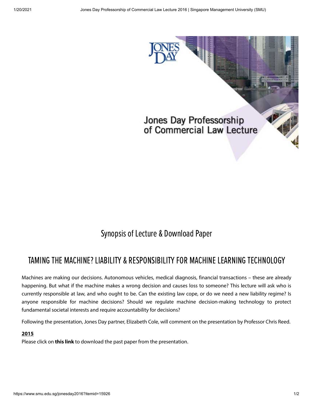

## Synopsis of Lecture & Download Paper

## TAMING THE MACHINE? LIABILITY& RESPONSIBILITYFOR MACHINELEARNING TECHNOLOGY

Machines are making our decisions. Autonomous vehicles, medical diagnosis, financial transactions – these are already happening. But what if the machine makes a wrong decision and causes loss to someone? This lecture will ask who is currently responsible at law, and who ought to be. Can the existing law cope, or do we need a new liability regime? Is anyone responsible for machine decisions? Should we regulate machine decision-making technology to protect fundamental societal interests and require accountability for decisions?

Following the presentation, Jones Day partner, Elizabeth Cole, will comment on the presentation by Professor Chris Reed.

### **2015**

Please click on **[this](https://law.smu.edu.sg/sites/default/files/law/CEBCLA/Notes_Confidentiality_in_International_Arbitration.pdf) link** to download the past paper from the presentation.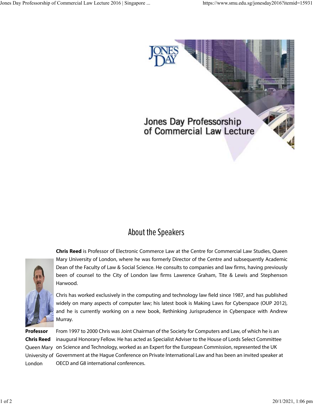

### About the Speakers

**Chris Reed** is Professor of Electronic Commerce Law at the Centre for Commercial Law Studies, Queen Mary University of London, where he was formerly Director of the Centre and subsequently Academic Dean of the Faculty of Law & Social Science. He consults to companies and law firms, having previously been of counsel to the City of London law firms Lawrence Graham, Tite & Lewis and Stephenson Harwood.



Chris has worked exclusively in the computing and technology law field since 1987, and has published widely on many aspects of computer law; his latest book is Making Laws for Cyberspace (OUP 2012), and he is currently working on a new book, Rethinking Jurisprudence in Cyberspace with Andrew Murray.

**Professor Chris Reed** London

Queen Mary on Science and Technology, worked as an Expert for the European Commission, represented the UK University of Government at the Hague Conference on Private International Law and has been an invited speaker at From 1997 to 2000 Chris was Joint Chairman of the Society for Computers and Law, of which he is an inaugural Honorary Fellow. He has acted as Specialist Adviser to the House of Lords Select Committee OECD and G8 international conferences.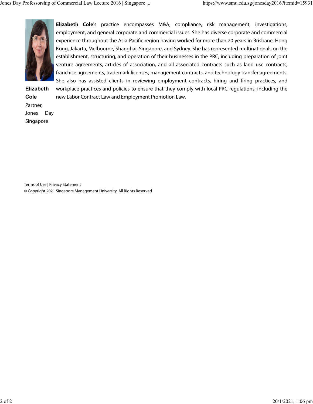

**Elizabeth Cole'**s practice encompasses M&A, compliance, risk management, investigations, employment, and general corporate and commercial issues. She has diverse corporate and commercial experience throughout the Asia-Pacific region having worked for more than 20 years in Brisbane, Hong Kong, Jakarta, Melbourne, Shanghai, Singapore, and Sydney. She has represented multinationals on the establishment, structuring, and operation of their businesses in the PRC, including preparation of joint venture agreements, articles of association, and all associated contracts such as land use contracts, franchise agreements, trademark licenses, management contracts, and technology transfer agreements. She also has assisted clients in reviewing employment contracts, hiring and firing practices, and

**Elizabeth Cole** Partner, Jones Day Singapore

workplace practices and policies to ensure that they comply with local PRC regulations, including the new Labor Contract Law and Employment Promotion Law.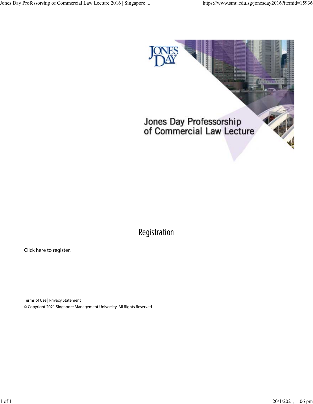

# Registration

Click here to register.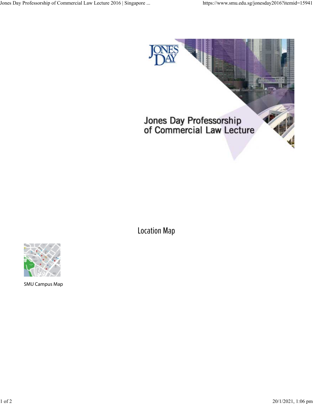

Location Map



SMU Campus Map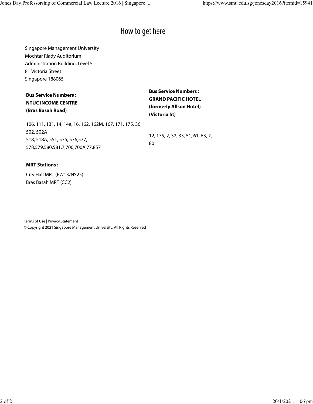### How to get here

Singapore Management University Mochtar Riady Auditorium Administration Building, Level 5 81 Victoria Street Singapore 188065

| <b>Bus Service Numbers :</b><br><b>NTUC INCOME CENTRE</b><br>(Bras Basah Road) | <b>Bus Service Numbers:</b><br><b>GRAND PACIFIC HOTEL</b><br>(formerly Allson Hotel)<br>(Victoria St) |  |
|--------------------------------------------------------------------------------|-------------------------------------------------------------------------------------------------------|--|
| 106, 111, 131, 14, 14e, 16, 162, 162M, 167, 171, 175, 36,                      |                                                                                                       |  |
| 502, 502A                                                                      | 12, 175, 2, 32, 33, 51, 61, 63, 7,<br>80                                                              |  |
| 518, 518A, 551, 575, 576, 577,                                                 |                                                                                                       |  |
| 578,579,580,581,7,700,700A,77,857                                              |                                                                                                       |  |

#### **MRT Stations :**

City Hall MRT (EW13/NS25) Bras Basah MRT (CC2)